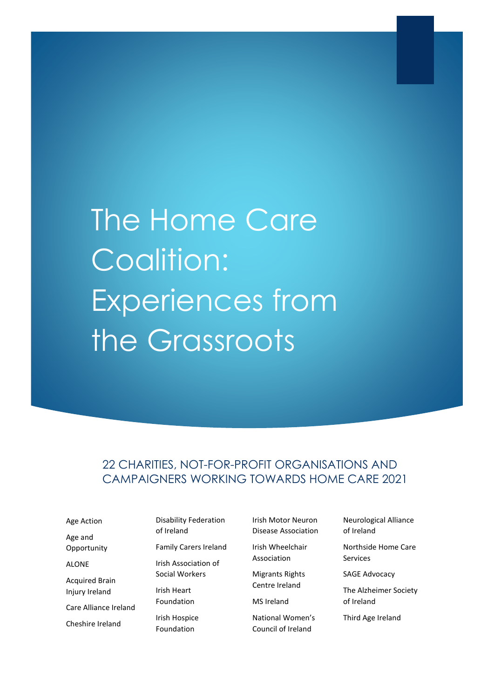# The Home Care Coalition: Experiences from the Grassroots

# 22 CHARITIES, NOT-FOR-PROFIT ORGANISATIONS AND CAMPAIGNERS WORKING TOWARDS HOME CARE 2021

Age Action Age and **Opportunity ALONE** Acquired Brain Injury Ireland Care Alliance Ireland Cheshire Ireland

Disability Federation of Ireland Family Carers Ireland Irish Association of Social Workers Irish Heart Foundation Irish Hospice Foundation

Irish Motor Neuron Disease Association

Irish Wheelchair Association

Migrants Rights

Centre Ireland MS Ireland

National Women's Council of Ireland

Neurological Alliance of Ireland

Northside Home Care Services

SAGE Advocacy

The Alzheimer Society of Ireland

Third Age Ireland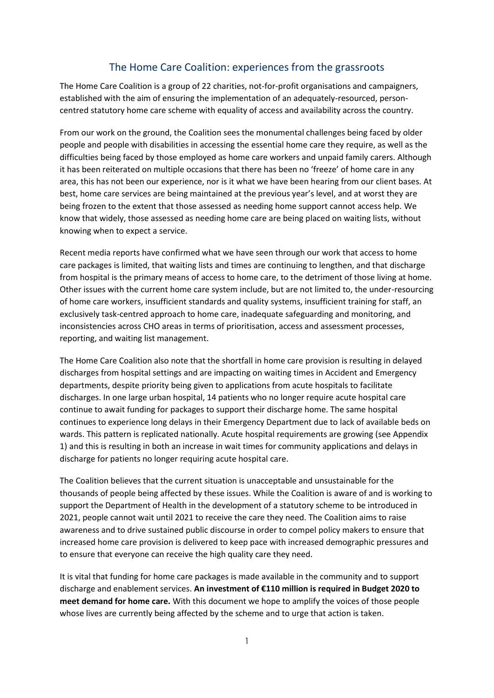# The Home Care Coalition: experiences from the grassroots

The Home Care Coalition is a group of 22 charities, not-for-profit organisations and campaigners, established with the aim of ensuring the implementation of an adequately-resourced, personcentred statutory home care scheme with equality of access and availability across the country.

From our work on the ground, the Coalition sees the monumental challenges being faced by older people and people with disabilities in accessing the essential home care they require, as well as the difficulties being faced by those employed as home care workers and unpaid family carers. Although it has been reiterated on multiple occasions that there has been no 'freeze' of home care in any area, this has not been our experience, nor is it what we have been hearing from our client bases. At best, home care services are being maintained at the previous year's level, and at worst they are being frozen to the extent that those assessed as needing home support cannot access help. We know that widely, those assessed as needing home care are being placed on waiting lists, without knowing when to expect a service.

Recent media reports have confirmed what we have seen through our work that access to home care packages is limited, that waiting lists and times are continuing to lengthen, and that discharge from hospital is the primary means of access to home care, to the detriment of those living at home. Other issues with the current home care system include, but are not limited to, the under-resourcing of home care workers, insufficient standards and quality systems, insufficient training for staff, an exclusively task-centred approach to home care, inadequate safeguarding and monitoring, and inconsistencies across CHO areas in terms of prioritisation, access and assessment processes, reporting, and waiting list management.

The Home Care Coalition also note that the shortfall in home care provision is resulting in delayed discharges from hospital settings and are impacting on waiting times in Accident and Emergency departments, despite priority being given to applications from acute hospitals to facilitate discharges. In one large urban hospital, 14 patients who no longer require acute hospital care continue to await funding for packages to support their discharge home. The same hospital continues to experience long delays in their Emergency Department due to lack of available beds on wards. This pattern is replicated nationally. Acute hospital requirements are growing (see Appendix 1) and this is resulting in both an increase in wait times for community applications and delays in discharge for patients no longer requiring acute hospital care.

The Coalition believes that the current situation is unacceptable and unsustainable for the thousands of people being affected by these issues. While the Coalition is aware of and is working to support the Department of Health in the development of a statutory scheme to be introduced in 2021, people cannot wait until 2021 to receive the care they need. The Coalition aims to raise awareness and to drive sustained public discourse in order to compel policy makers to ensure that increased home care provision is delivered to keep pace with increased demographic pressures and to ensure that everyone can receive the high quality care they need.

It is vital that funding for home care packages is made available in the community and to support discharge and enablement services. **An investment of €110 million is required in Budget 2020 to meet demand for home care.** With this document we hope to amplify the voices of those people whose lives are currently being affected by the scheme and to urge that action is taken.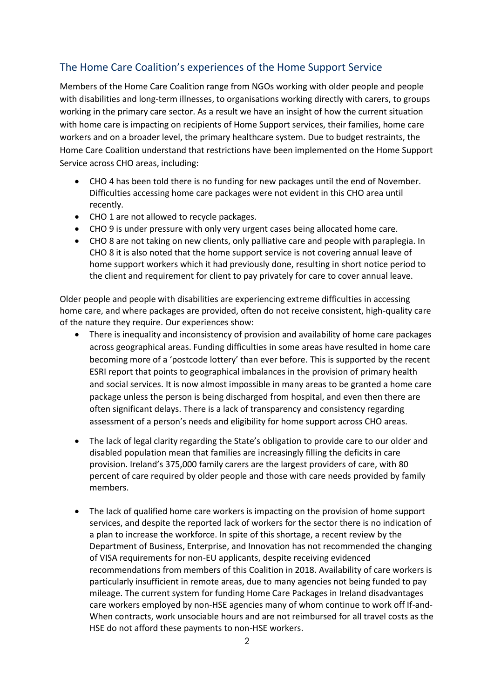# The Home Care Coalition's experiences of the Home Support Service

Members of the Home Care Coalition range from NGOs working with older people and people with disabilities and long-term illnesses, to organisations working directly with carers, to groups working in the primary care sector. As a result we have an insight of how the current situation with home care is impacting on recipients of Home Support services, their families, home care workers and on a broader level, the primary healthcare system. Due to budget restraints, the Home Care Coalition understand that restrictions have been implemented on the Home Support Service across CHO areas, including:

- CHO 4 has been told there is no funding for new packages until the end of November. Difficulties accessing home care packages were not evident in this CHO area until recently.
- CHO 1 are not allowed to recycle packages.
- CHO 9 is under pressure with only very urgent cases being allocated home care.
- CHO 8 are not taking on new clients, only palliative care and people with paraplegia. In CHO 8 it is also noted that the home support service is not covering annual leave of home support workers which it had previously done, resulting in short notice period to the client and requirement for client to pay privately for care to cover annual leave.

Older people and people with disabilities are experiencing extreme difficulties in accessing home care, and where packages are provided, often do not receive consistent, high-quality care of the nature they require. Our experiences show:

- There is inequality and inconsistency of provision and availability of home care packages across geographical areas. Funding difficulties in some areas have resulted in home care becoming more of a 'postcode lottery' than ever before. This is supported by the recent ESRI report that points to geographical imbalances in the provision of primary health and social services. It is now almost impossible in many areas to be granted a home care package unless the person is being discharged from hospital, and even then there are often significant delays. There is a lack of transparency and consistency regarding assessment of a person's needs and eligibility for home support across CHO areas.
- The lack of legal clarity regarding the State's obligation to provide care to our older and disabled population mean that families are increasingly filling the deficits in care provision. Ireland's 375,000 family carers are the largest providers of care, with 80 percent of care required by older people and those with care needs provided by family members.
- The lack of qualified home care workers is impacting on the provision of home support services, and despite the reported lack of workers for the sector there is no indication of a plan to increase the workforce. In spite of this shortage, a recent review by the Department of Business, Enterprise, and Innovation has not recommended the changing of VISA requirements for non-EU applicants, despite receiving evidenced recommendations from members of this Coalition in 2018. Availability of care workers is particularly insufficient in remote areas, due to many agencies not being funded to pay mileage. The current system for funding Home Care Packages in Ireland disadvantages care workers employed by non-HSE agencies many of whom continue to work off If-and-When contracts, work unsociable hours and are not reimbursed for all travel costs as the HSE do not afford these payments to non-HSE workers.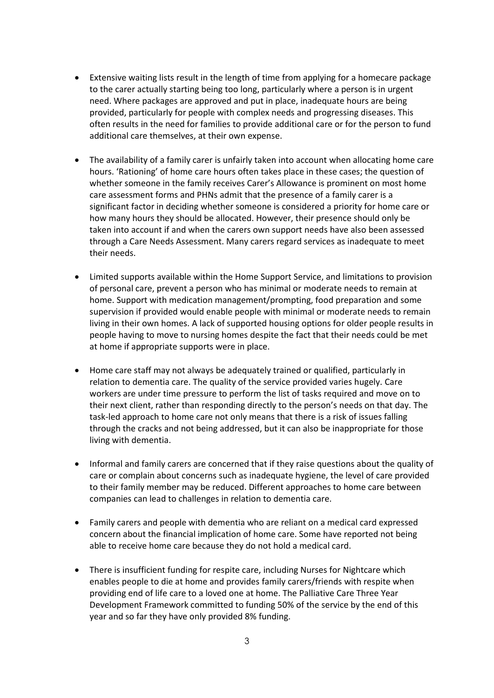- Extensive waiting lists result in the length of time from applying for a homecare package to the carer actually starting being too long, particularly where a person is in urgent need. Where packages are approved and put in place, inadequate hours are being provided, particularly for people with complex needs and progressing diseases. This often results in the need for families to provide additional care or for the person to fund additional care themselves, at their own expense.
- The availability of a family carer is unfairly taken into account when allocating home care hours. 'Rationing' of home care hours often takes place in these cases; the question of whether someone in the family receives Carer's Allowance is prominent on most home care assessment forms and PHNs admit that the presence of a family carer is a significant factor in deciding whether someone is considered a priority for home care or how many hours they should be allocated. However, their presence should only be taken into account if and when the carers own support needs have also been assessed through a Care Needs Assessment. Many carers regard services as inadequate to meet their needs.
- Limited supports available within the Home Support Service, and limitations to provision of personal care, prevent a person who has minimal or moderate needs to remain at home. Support with medication management/prompting, food preparation and some supervision if provided would enable people with minimal or moderate needs to remain living in their own homes. A lack of supported housing options for older people results in people having to move to nursing homes despite the fact that their needs could be met at home if appropriate supports were in place.
- Home care staff may not always be adequately trained or qualified, particularly in relation to dementia care. The quality of the service provided varies hugely. Care workers are under time pressure to perform the list of tasks required and move on to their next client, rather than responding directly to the person's needs on that day. The task-led approach to home care not only means that there is a risk of issues falling through the cracks and not being addressed, but it can also be inappropriate for those living with dementia.
- Informal and family carers are concerned that if they raise questions about the quality of care or complain about concerns such as inadequate hygiene, the level of care provided to their family member may be reduced. Different approaches to home care between companies can lead to challenges in relation to dementia care.
- Family carers and people with dementia who are reliant on a medical card expressed concern about the financial implication of home care. Some have reported not being able to receive home care because they do not hold a medical card.
- There is insufficient funding for respite care, including Nurses for Nightcare which enables people to die at home and provides family carers/friends with respite when providing end of life care to a loved one at home. The Palliative Care Three Year Development Framework committed to funding 50% of the service by the end of this year and so far they have only provided 8% funding.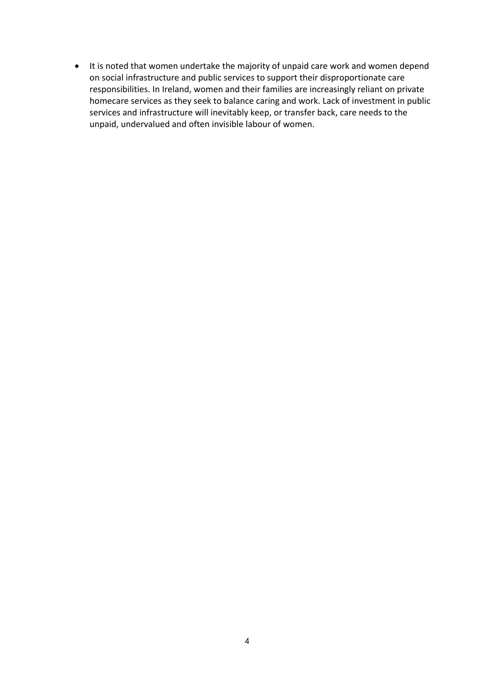• It is noted that women undertake the majority of unpaid care work and women depend on social infrastructure and public services to support their disproportionate care responsibilities. In Ireland, women and their families are increasingly reliant on private homecare services as they seek to balance caring and work. Lack of investment in public services and infrastructure will inevitably keep, or transfer back, care needs to the unpaid, undervalued and often invisible labour of women.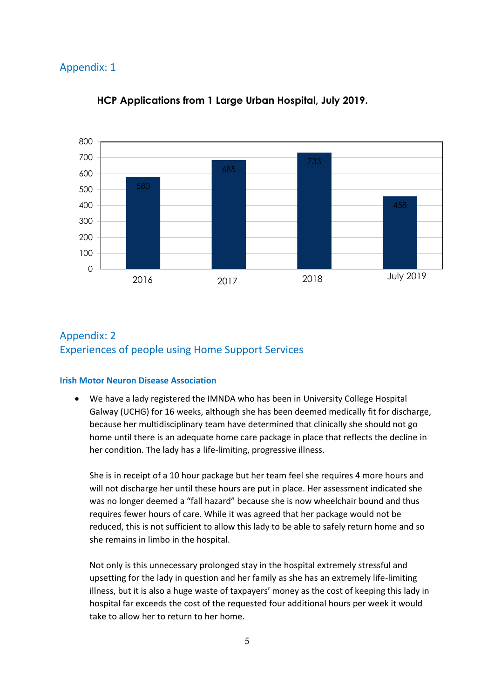## Appendix: 1



### **HCP Applications from 1 Large Urban Hospital, July 2019.**

# Appendix: 2 Experiences of people using Home Support Services

#### **Irish Motor Neuron Disease Association**

• We have a lady registered the IMNDA who has been in University College Hospital Galway (UCHG) for 16 weeks, although she has been deemed medically fit for discharge, because her multidisciplinary team have determined that clinically she should not go home until there is an adequate home care package in place that reflects the decline in her condition. The lady has a life-limiting, progressive illness.

She is in receipt of a 10 hour package but her team feel she requires 4 more hours and will not discharge her until these hours are put in place. Her assessment indicated she was no longer deemed a "fall hazard" because she is now wheelchair bound and thus requires fewer hours of care. While it was agreed that her package would not be reduced, this is not sufficient to allow this lady to be able to safely return home and so she remains in limbo in the hospital.

Not only is this unnecessary prolonged stay in the hospital extremely stressful and upsetting for the lady in question and her family as she has an extremely life-limiting illness, but it is also a huge waste of taxpayers' money as the cost of keeping this lady in hospital far exceeds the cost of the requested four additional hours per week it would take to allow her to return to her home.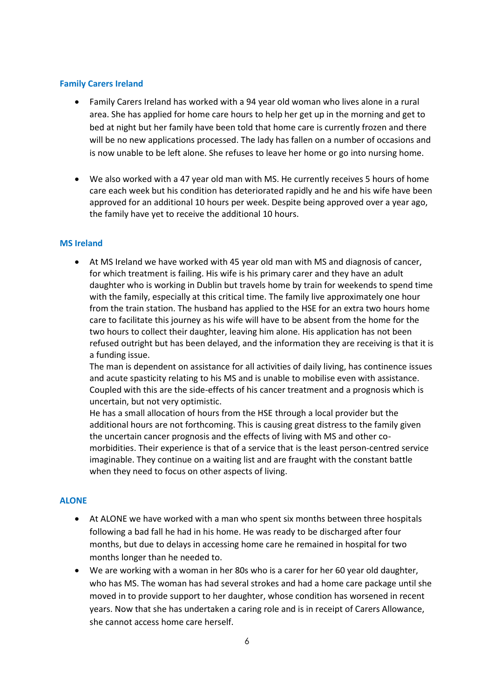#### **Family Carers Ireland**

- Family Carers Ireland has worked with a 94 year old woman who lives alone in a rural area. She has applied for home care hours to help her get up in the morning and get to bed at night but her family have been told that home care is currently frozen and there will be no new applications processed. The lady has fallen on a number of occasions and is now unable to be left alone. She refuses to leave her home or go into nursing home.
- We also worked with a 47 year old man with MS. He currently receives 5 hours of home care each week but his condition has deteriorated rapidly and he and his wife have been approved for an additional 10 hours per week. Despite being approved over a year ago, the family have yet to receive the additional 10 hours.

#### **MS Ireland**

• At MS Ireland we have worked with 45 year old man with MS and diagnosis of cancer, for which treatment is failing. His wife is his primary carer and they have an adult daughter who is working in Dublin but travels home by train for weekends to spend time with the family, especially at this critical time. The family live approximately one hour from the train station. The husband has applied to the HSE for an extra two hours home care to facilitate this journey as his wife will have to be absent from the home for the two hours to collect their daughter, leaving him alone. His application has not been refused outright but has been delayed, and the information they are receiving is that it is a funding issue.

The man is dependent on assistance for all activities of daily living, has continence issues and acute spasticity relating to his MS and is unable to mobilise even with assistance. Coupled with this are the side-effects of his cancer treatment and a prognosis which is uncertain, but not very optimistic.

He has a small allocation of hours from the HSE through a local provider but the additional hours are not forthcoming. This is causing great distress to the family given the uncertain cancer prognosis and the effects of living with MS and other comorbidities. Their experience is that of a service that is the least person-centred service imaginable. They continue on a waiting list and are fraught with the constant battle when they need to focus on other aspects of living.

#### **ALONE**

- At ALONE we have worked with a man who spent six months between three hospitals following a bad fall he had in his home. He was ready to be discharged after four months, but due to delays in accessing home care he remained in hospital for two months longer than he needed to.
- We are working with a woman in her 80s who is a carer for her 60 year old daughter, who has MS. The woman has had several strokes and had a home care package until she moved in to provide support to her daughter, whose condition has worsened in recent years. Now that she has undertaken a caring role and is in receipt of Carers Allowance, she cannot access home care herself.